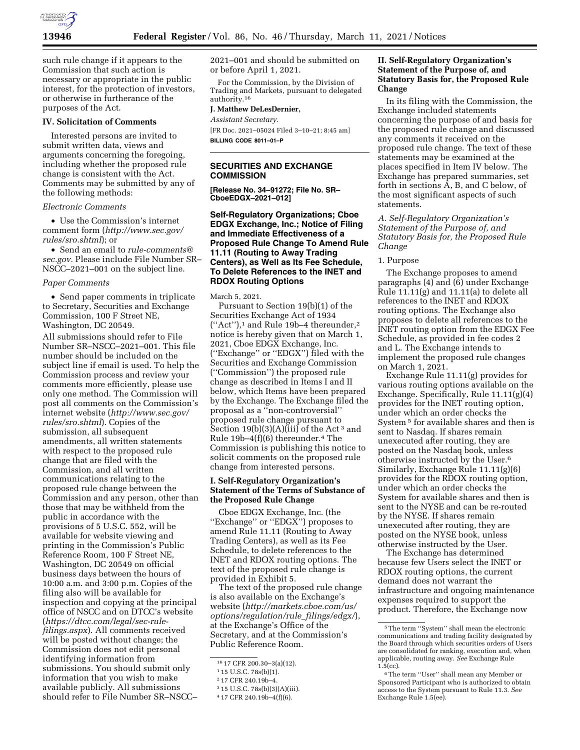

such rule change if it appears to the Commission that such action is necessary or appropriate in the public interest, for the protection of investors, or otherwise in furtherance of the purposes of the Act.

#### **IV. Solicitation of Comments**

Interested persons are invited to submit written data, views and arguments concerning the foregoing, including whether the proposed rule change is consistent with the Act. Comments may be submitted by any of the following methods:

#### *Electronic Comments*

• Use the Commission's internet comment form (*[http://www.sec.gov/](http://www.sec.gov/rules/sro.shtml)  [rules/sro.shtml](http://www.sec.gov/rules/sro.shtml)*); or

• Send an email to *[rule-comments@](mailto:rule-comments@sec.gov) [sec.gov.](mailto:rule-comments@sec.gov)* Please include File Number SR– NSCC–2021–001 on the subject line.

### *Paper Comments*

• Send paper comments in triplicate to Secretary, Securities and Exchange Commission, 100 F Street NE, Washington, DC 20549.

All submissions should refer to File Number SR–NSCC–2021–001. This file number should be included on the subject line if email is used. To help the Commission process and review your comments more efficiently, please use only one method. The Commission will post all comments on the Commission's internet website (*[http://www.sec.gov/](http://www.sec.gov/rules/sro.shtml)  [rules/sro.shtml](http://www.sec.gov/rules/sro.shtml)*). Copies of the submission, all subsequent amendments, all written statements with respect to the proposed rule change that are filed with the Commission, and all written communications relating to the proposed rule change between the Commission and any person, other than those that may be withheld from the public in accordance with the provisions of 5 U.S.C. 552, will be available for website viewing and printing in the Commission's Public Reference Room, 100 F Street NE, Washington, DC 20549 on official business days between the hours of 10:00 a.m. and 3:00 p.m. Copies of the filing also will be available for inspection and copying at the principal office of NSCC and on DTCC's website (*[https://dtcc.com/legal/sec-rule](https://dtcc.com/legal/sec-rule-filings.aspx)[filings.aspx](https://dtcc.com/legal/sec-rule-filings.aspx)*). All comments received will be posted without change; the Commission does not edit personal identifying information from submissions. You should submit only information that you wish to make available publicly. All submissions should refer to File Number SR–NSCC–

2021–001 and should be submitted on or before April 1, 2021.

For the Commission, by the Division of Trading and Markets, pursuant to delegated authority.16

#### **J. Matthew DeLesDernier,**

*Assistant Secretary.* 

[FR Doc. 2021–05024 Filed 3–10–21; 8:45 am] **BILLING CODE 8011–01–P** 

# **SECURITIES AND EXCHANGE COMMISSION**

**[Release No. 34–91272; File No. SR– CboeEDGX–2021–012]** 

# **Self-Regulatory Organizations; Cboe EDGX Exchange, Inc.; Notice of Filing and Immediate Effectiveness of a Proposed Rule Change To Amend Rule 11.11 (Routing to Away Trading Centers), as Well as Its Fee Schedule, To Delete References to the INET and RDOX Routing Options**

March 5, 2021.

Pursuant to Section 19(b)(1) of the Securities Exchange Act of 1934  $("Act")$ ,<sup>1</sup> and Rule 19b-4 thereunder,<sup>2</sup> notice is hereby given that on March 1, 2021, Cboe EDGX Exchange, Inc. (''Exchange'' or ''EDGX'') filed with the Securities and Exchange Commission (''Commission'') the proposed rule change as described in Items I and II below, which Items have been prepared by the Exchange. The Exchange filed the proposal as a ''non-controversial'' proposed rule change pursuant to Section  $19(b)(3)(A)(iii)$  of the Act<sup>3</sup> and Rule 19b–4(f)(6) thereunder.4 The Commission is publishing this notice to solicit comments on the proposed rule change from interested persons.

# **I. Self-Regulatory Organization's Statement of the Terms of Substance of the Proposed Rule Change**

Cboe EDGX Exchange, Inc. (the "Exchange" or "EDGX") proposes to amend Rule 11.11 (Routing to Away Trading Centers), as well as its Fee Schedule, to delete references to the INET and RDOX routing options. The text of the proposed rule change is provided in Exhibit 5.

The text of the proposed rule change is also available on the Exchange's website (*[http://markets.cboe.com/us/](http://markets.cboe.com/us/options/regulation/rule_filings/edgx/) [options/regulation/rule](http://markets.cboe.com/us/options/regulation/rule_filings/edgx/)*\_*filings/edgx/*), at the Exchange's Office of the Secretary, and at the Commission's Public Reference Room.

# **II. Self-Regulatory Organization's Statement of the Purpose of, and Statutory Basis for, the Proposed Rule Change**

In its filing with the Commission, the Exchange included statements concerning the purpose of and basis for the proposed rule change and discussed any comments it received on the proposed rule change. The text of these statements may be examined at the places specified in Item IV below. The Exchange has prepared summaries, set forth in sections A, B, and C below, of the most significant aspects of such statements.

*A. Self-Regulatory Organization's Statement of the Purpose of, and Statutory Basis for, the Proposed Rule Change* 

#### 1. Purpose

The Exchange proposes to amend paragraphs (4) and (6) under Exchange Rule 11.11(g) and 11.11(a) to delete all references to the INET and RDOX routing options. The Exchange also proposes to delete all references to the INET routing option from the EDGX Fee Schedule, as provided in fee codes 2 and L. The Exchange intends to implement the proposed rule changes on March 1, 2021.

Exchange Rule 11.11(g) provides for various routing options available on the Exchange. Specifically, Rule 11.11(g)(4) provides for the INET routing option, under which an order checks the System 5 for available shares and then is sent to Nasdaq. If shares remain unexecuted after routing, they are posted on the Nasdaq book, unless otherwise instructed by the User.6 Similarly, Exchange Rule 11.11(g)(6) provides for the RDOX routing option, under which an order checks the System for available shares and then is sent to the NYSE and can be re-routed by the NYSE. If shares remain unexecuted after routing, they are posted on the NYSE book, unless otherwise instructed by the User.

The Exchange has determined because few Users select the INET or RDOX routing options, the current demand does not warrant the infrastructure and ongoing maintenance expenses required to support the product. Therefore, the Exchange now

<sup>16</sup> 17 CFR 200.30–3(a)(12).

<sup>1</sup> 15 U.S.C. 78s(b)(1).

<sup>2</sup> 17 CFR 240.19b–4.

<sup>3</sup> 15 U.S.C. 78s(b)(3)(A)(iii).

<sup>4</sup> 17 CFR 240.19b–4(f)(6).

<sup>5</sup>The term ''System'' shall mean the electronic communications and trading facility designated by the Board through which securities orders of Users are consolidated for ranking, execution and, when applicable, routing away. *See* Exchange Rule  $1.5$ (cc).

<sup>6</sup>The term ''User'' shall mean any Member or Sponsored Participant who is authorized to obtain access to the System pursuant to Rule 11.3. *See*  Exchange Rule 1.5(ee).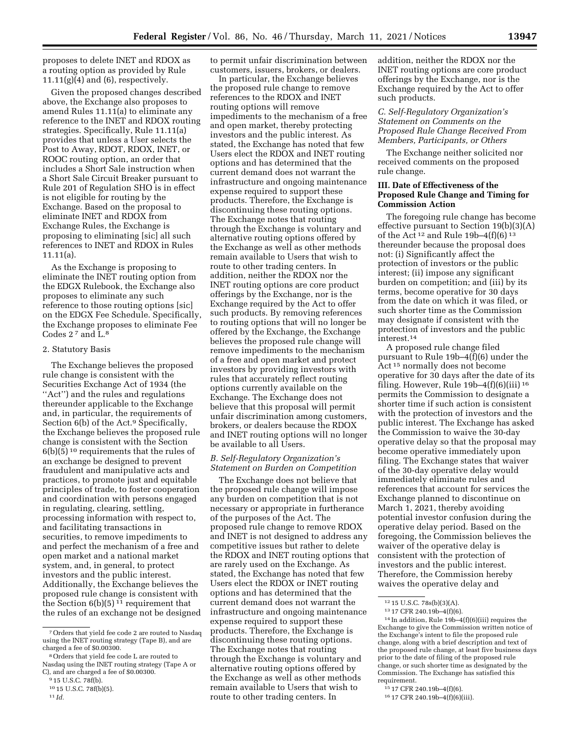proposes to delete INET and RDOX as a routing option as provided by Rule  $11.11(g)(4)$  and  $(6)$ , respectively.

Given the proposed changes described above, the Exchange also proposes to amend Rules 11.11(a) to eliminate any reference to the INET and RDOX routing strategies. Specifically, Rule 11.11(a) provides that unless a User selects the Post to Away, RDOT, RDOX, INET, or ROOC routing option, an order that includes a Short Sale instruction when a Short Sale Circuit Breaker pursuant to Rule 201 of Regulation SHO is in effect is not eligible for routing by the Exchange. Based on the proposal to eliminate INET and RDOX from Exchange Rules, the Exchange is proposing to eliminating [sic] all such references to INET and RDOX in Rules 11.11(a).

As the Exchange is proposing to eliminate the INET routing option from the EDGX Rulebook, the Exchange also proposes to eliminate any such reference to those routing options [sic] on the EDGX Fee Schedule. Specifically, the Exchange proposes to eliminate Fee Codes 2 7 and L.8

#### 2. Statutory Basis

The Exchange believes the proposed rule change is consistent with the Securities Exchange Act of 1934 (the "Act") and the rules and regulations thereunder applicable to the Exchange and, in particular, the requirements of Section 6(b) of the Act.<sup>9</sup> Specifically, the Exchange believes the proposed rule change is consistent with the Section 6(b)(5) 10 requirements that the rules of an exchange be designed to prevent fraudulent and manipulative acts and practices, to promote just and equitable principles of trade, to foster cooperation and coordination with persons engaged in regulating, clearing, settling, processing information with respect to, and facilitating transactions in securities, to remove impediments to and perfect the mechanism of a free and open market and a national market system, and, in general, to protect investors and the public interest. Additionally, the Exchange believes the proposed rule change is consistent with the Section  $6(b)(5)^{11}$  requirement that the rules of an exchange not be designed to permit unfair discrimination between customers, issuers, brokers, or dealers.

In particular, the Exchange believes the proposed rule change to remove references to the RDOX and INET routing options will remove impediments to the mechanism of a free and open market, thereby protecting investors and the public interest. As stated, the Exchange has noted that few Users elect the RDOX and INET routing options and has determined that the current demand does not warrant the infrastructure and ongoing maintenance expense required to support these products. Therefore, the Exchange is discontinuing these routing options. The Exchange notes that routing through the Exchange is voluntary and alternative routing options offered by the Exchange as well as other methods remain available to Users that wish to route to other trading centers. In addition, neither the RDOX nor the INET routing options are core product offerings by the Exchange, nor is the Exchange required by the Act to offer such products. By removing references to routing options that will no longer be offered by the Exchange, the Exchange believes the proposed rule change will remove impediments to the mechanism of a free and open market and protect investors by providing investors with rules that accurately reflect routing options currently available on the Exchange. The Exchange does not believe that this proposal will permit unfair discrimination among customers, brokers, or dealers because the RDOX and INET routing options will no longer be available to all Users.

# *B. Self-Regulatory Organization's Statement on Burden on Competition*

The Exchange does not believe that the proposed rule change will impose any burden on competition that is not necessary or appropriate in furtherance of the purposes of the Act. The proposed rule change to remove RDOX and INET is not designed to address any competitive issues but rather to delete the RDOX and INET routing options that are rarely used on the Exchange. As stated, the Exchange has noted that few Users elect the RDOX or INET routing options and has determined that the current demand does not warrant the infrastructure and ongoing maintenance expense required to support these products. Therefore, the Exchange is discontinuing these routing options. The Exchange notes that routing through the Exchange is voluntary and alternative routing options offered by the Exchange as well as other methods remain available to Users that wish to route to other trading centers. In

addition, neither the RDOX nor the INET routing options are core product offerings by the Exchange, nor is the Exchange required by the Act to offer such products.

## *C. Self-Regulatory Organization's Statement on Comments on the Proposed Rule Change Received From Members, Participants, or Others*

The Exchange neither solicited nor received comments on the proposed rule change.

# **III. Date of Effectiveness of the Proposed Rule Change and Timing for Commission Action**

The foregoing rule change has become effective pursuant to Section 19(b)(3)(A) of the Act 12 and Rule 19b–4(f)(6) 13 thereunder because the proposal does not: (i) Significantly affect the protection of investors or the public interest; (ii) impose any significant burden on competition; and (iii) by its terms, become operative for 30 days from the date on which it was filed, or such shorter time as the Commission may designate if consistent with the protection of investors and the public interest.14

A proposed rule change filed pursuant to Rule 19b–4(f)(6) under the Act 15 normally does not become operative for 30 days after the date of its filing. However, Rule  $19b-4(f)(6)(iii)$ <sup>16</sup> permits the Commission to designate a shorter time if such action is consistent with the protection of investors and the public interest. The Exchange has asked the Commission to waive the 30-day operative delay so that the proposal may become operative immediately upon filing. The Exchange states that waiver of the 30-day operative delay would immediately eliminate rules and references that account for services the Exchange planned to discontinue on March 1, 2021, thereby avoiding potential investor confusion during the operative delay period. Based on the foregoing, the Commission believes the waiver of the operative delay is consistent with the protection of investors and the public interest. Therefore, the Commission hereby waives the operative delay and

14 In addition, Rule 19b–4(f)(6)(iii) requires the Exchange to give the Commission written notice of the Exchange's intent to file the proposed rule change, along with a brief description and text of the proposed rule change, at least five business days prior to the date of filing of the proposed rule change, or such shorter time as designated by the Commission. The Exchange has satisfied this requirement.

<sup>7</sup>Orders that yield fee code 2 are routed to Nasdaq using the INET routing strategy (Tape B), and are charged a fee of \$0.00300.

<sup>8</sup>Orders that yield fee code L are routed to Nasdaq using the INET routing strategy (Tape A or C), and are charged a fee of \$0.00300.

<sup>&</sup>lt;sup>9</sup> 15 U.S.C. 78f(b).

<sup>10</sup> 15 U.S.C. 78f(b)(5).

<sup>11</sup> *Id.* 

<sup>12</sup> 15 U.S.C. 78s(b)(3)(A).

<sup>13</sup> 17 CFR 240.19b–4(f)(6).

<sup>15</sup> 17 CFR 240.19b–4(f)(6).

<sup>16</sup> 17 CFR 240.19b–4(f)(6)(iii).